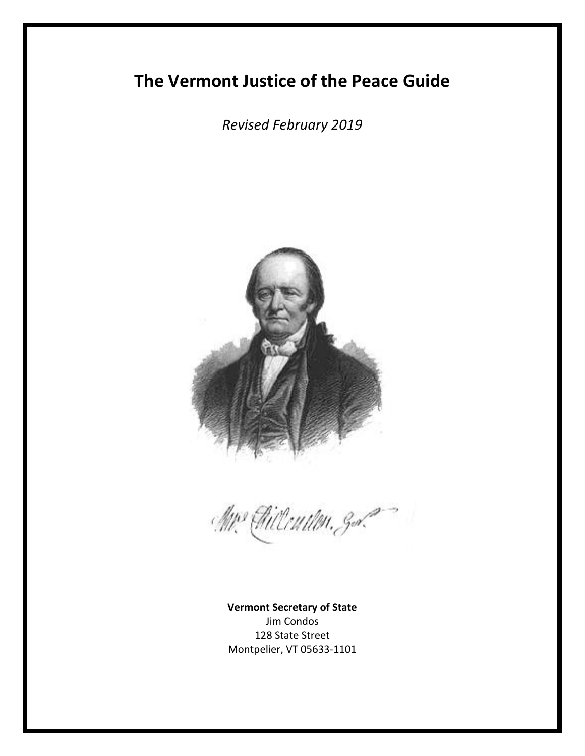# **The Vermont Justice of the Peace Guide**

*Revised February 2019*



Mrs Gilleutten, g.d.

**Vermont Secretary of State** Jim Condos 128 State Street Montpelier, VT 05633-1101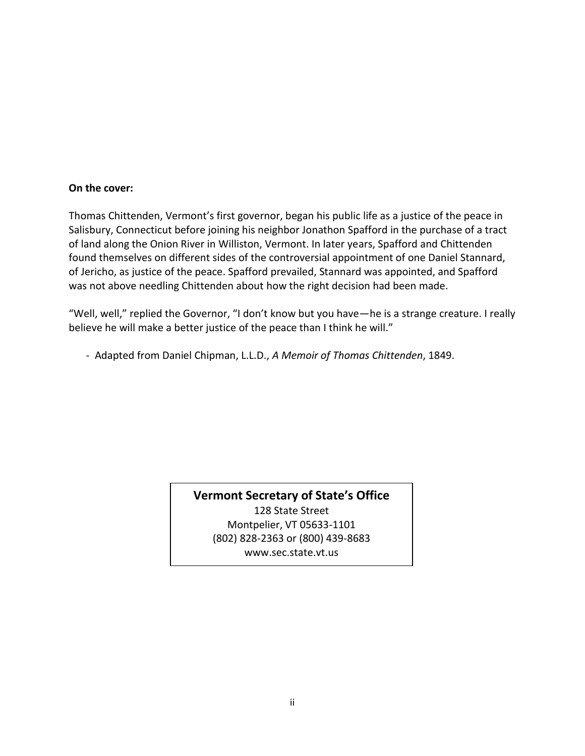#### **On the cover:**

Thomas Chittenden, Vermont's first governor, began his public life as a justice of the peace in Salisbury, Connecticut before joining his neighbor Jonathon Spafford in the purchase of a tract of land along the Onion River in Williston, Vermont. In later years, Spafford and Chittenden found themselves on different sides of the controversial appointment of one Daniel Stannard, of Jericho, as justice of the peace. Spafford prevailed, Stannard was appointed, and Spafford was not above needling Chittenden about how the right decision had been made.

"Well, well," replied the Governor, "I don't know but you have—he is a strange creature. I really believe he will make a better justice of the peace than I think he will."

- Adapted from Daniel Chipman, L.L.D., *A Memoir of Thomas Chittenden*, 1849.

**Vermont Secretary of State's Office** 128 State Street Montpelier, VT 05633-1101 (802) 828-2363 or (800) 439-8683 www.sec.state.vt.us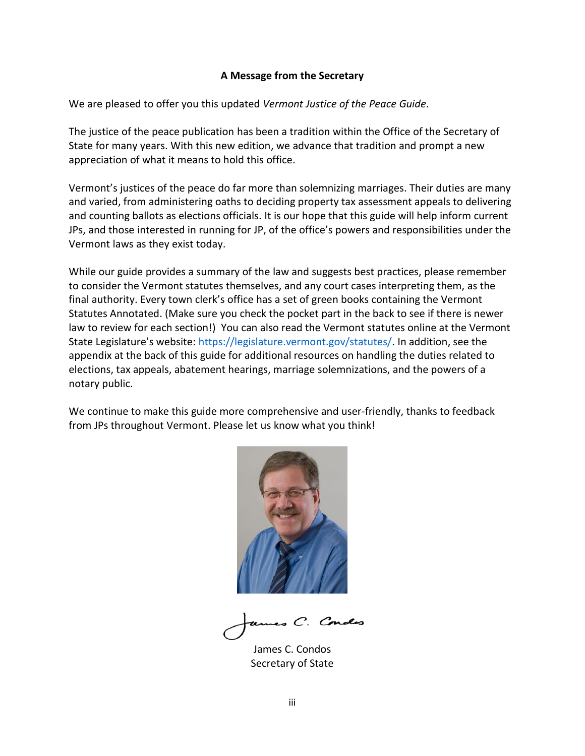#### **A Message from the Secretary**

We are pleased to offer you this updated *Vermont Justice of the Peace Guide*.

The justice of the peace publication has been a tradition within the Office of the Secretary of State for many years. With this new edition, we advance that tradition and prompt a new appreciation of what it means to hold this office.

Vermont's justices of the peace do far more than solemnizing marriages. Their duties are many and varied, from administering oaths to deciding property tax assessment appeals to delivering and counting ballots as elections officials. It is our hope that this guide will help inform current JPs, and those interested in running for JP, of the office's powers and responsibilities under the Vermont laws as they exist today.

While our guide provides a summary of the law and suggests best practices, please remember to consider the Vermont statutes themselves, and any court cases interpreting them, as the final authority. Every town clerk's office has a set of green books containing the Vermont Statutes Annotated. (Make sure you check the pocket part in the back to see if there is newer law to review for each section!) You can also read the Vermont statutes online at the Vermont State Legislature's website: [https://legislature.vermont.gov/statutes/.](https://legislature.vermont.gov/statutes/) In addition, see the appendix at the back of this guide for additional resources on handling the duties related to elections, tax appeals, abatement hearings, marriage solemnizations, and the powers of a notary public.

We continue to make this guide more comprehensive and user-friendly, thanks to feedback from JPs throughout Vermont. Please let us know what you think!



es C.

James C. Condos Secretary of State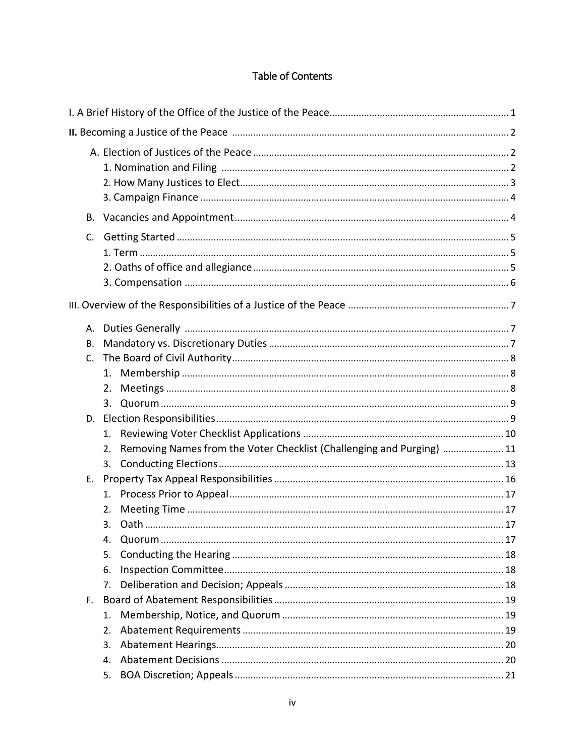# Table of Contents

| В.                    |                      |                                                                       |  |  |  |
|-----------------------|----------------------|-----------------------------------------------------------------------|--|--|--|
| C.                    |                      |                                                                       |  |  |  |
|                       |                      |                                                                       |  |  |  |
| A.<br><b>B.</b><br>C. | 2.                   |                                                                       |  |  |  |
|                       |                      |                                                                       |  |  |  |
|                       | 1.<br>2.<br>3.       | Removing Names from the Voter Checklist (Challenging and Purging)  11 |  |  |  |
| Е.                    | 1.<br>2.<br>4.       |                                                                       |  |  |  |
| F.                    | 5.<br>6.<br>7.       |                                                                       |  |  |  |
|                       | 1.<br>2.<br>3.<br>4. |                                                                       |  |  |  |
|                       | 5.                   |                                                                       |  |  |  |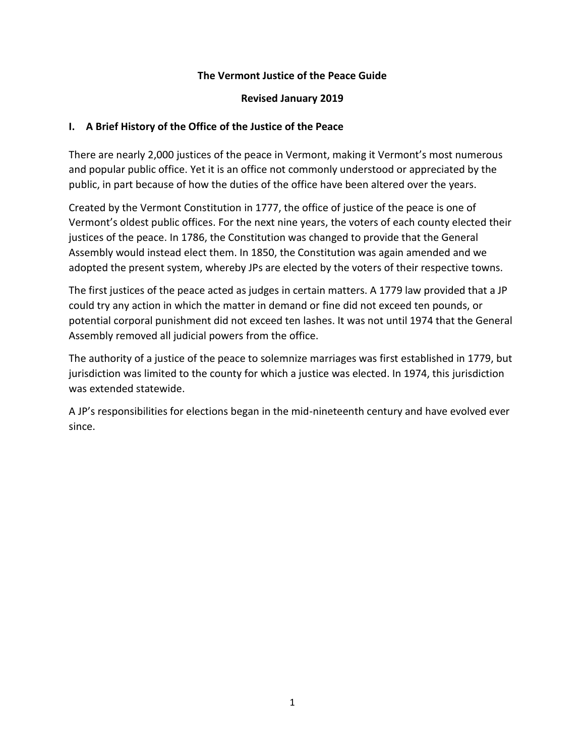#### **The Vermont Justice of the Peace Guide**

#### **Revised January 2019**

#### **I. A Brief History of the Office of the Justice of the Peace**

There are nearly 2,000 justices of the peace in Vermont, making it Vermont's most numerous and popular public office. Yet it is an office not commonly understood or appreciated by the public, in part because of how the duties of the office have been altered over the years.

Created by the Vermont Constitution in 1777, the office of justice of the peace is one of Vermont's oldest public offices. For the next nine years, the voters of each county elected their justices of the peace. In 1786, the Constitution was changed to provide that the General Assembly would instead elect them. In 1850, the Constitution was again amended and we adopted the present system, whereby JPs are elected by the voters of their respective towns.

The first justices of the peace acted as judges in certain matters. A 1779 law provided that a JP could try any action in which the matter in demand or fine did not exceed ten pounds, or potential corporal punishment did not exceed ten lashes. It was not until 1974 that the General Assembly removed all judicial powers from the office.

The authority of a justice of the peace to solemnize marriages was first established in 1779, but jurisdiction was limited to the county for which a justice was elected. In 1974, this jurisdiction was extended statewide.

A JP's responsibilities for elections began in the mid-nineteenth century and have evolved ever since.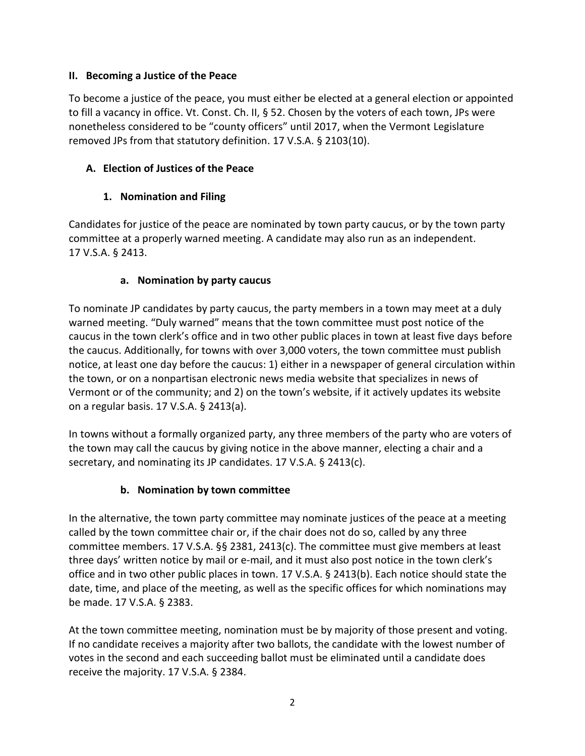#### **II. Becoming a Justice of the Peace**

To become a justice of the peace, you must either be elected at a general election or appointed to fill a vacancy in office. Vt. Const. Ch. II, § 52. Chosen by the voters of each town, JPs were nonetheless considered to be "county officers" until 2017, when the Vermont Legislature removed JPs from that statutory definition. 17 V.S.A. § 2103(10).

### **A. Election of Justices of the Peace**

# **1. Nomination and Filing**

Candidates for justice of the peace are nominated by town party caucus, or by the town party committee at a properly warned meeting. A candidate may also run as an independent. 17 V.S.A. § 2413.

### **a. Nomination by party caucus**

To nominate JP candidates by party caucus, the party members in a town may meet at a duly warned meeting. "Duly warned" means that the town committee must post notice of the caucus in the town clerk's office and in two other public places in town at least five days before the caucus. Additionally, for towns with over 3,000 voters, the town committee must publish notice, at least one day before the caucus: 1) either in a newspaper of general circulation within the town, or on a nonpartisan electronic news media website that specializes in news of Vermont or of the community; and 2) on the town's website, if it actively updates its website on a regular basis. 17 V.S.A. § 2413(a).

In towns without a formally organized party, any three members of the party who are voters of the town may call the caucus by giving notice in the above manner, electing a chair and a secretary, and nominating its JP candidates. 17 V.S.A. § 2413(c).

# **b. Nomination by town committee**

In the alternative, the town party committee may nominate justices of the peace at a meeting called by the town committee chair or, if the chair does not do so, called by any three committee members. 17 V.S.A. §§ 2381, 2413(c). The committee must give members at least three days' written notice by mail or e-mail, and it must also post notice in the town clerk's office and in two other public places in town. 17 V.S.A. § 2413(b). Each notice should state the date, time, and place of the meeting, as well as the specific offices for which nominations may be made. 17 V.S.A. § 2383.

At the town committee meeting, nomination must be by majority of those present and voting. If no candidate receives a majority after two ballots, the candidate with the lowest number of votes in the second and each succeeding ballot must be eliminated until a candidate does receive the majority. 17 V.S.A. § 2384.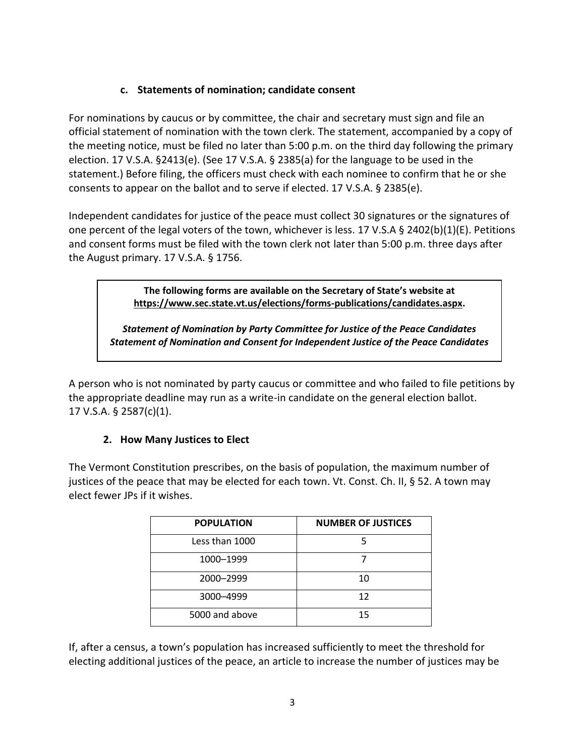#### **c. Statements of nomination; candidate consent**

For nominations by caucus or by committee, the chair and secretary must sign and file an official statement of nomination with the town clerk. The statement, accompanied by a copy of the meeting notice, must be filed no later than 5:00 p.m. on the third day following the primary election. 17 V.S.A. §2413(e). (See 17 V.S.A. § 2385(a) for the language to be used in the statement.) Before filing, the officers must check with each nominee to confirm that he or she consents to appear on the ballot and to serve if elected. 17 V.S.A. § 2385(e).

Independent candidates for justice of the peace must collect 30 signatures or the signatures of one percent of the legal voters of the town, whichever is less. 17 V.S.A § 2402(b)(1)(E). Petitions and consent forms must be filed with the town clerk not later than 5:00 p.m. three days after the August primary. 17 V.S.A. § 1756.

> **The following forms are available on the Secretary of State's website at [https://www.sec.state.vt.us/elections/forms-publications/candidates.aspx.](https://www.sec.state.vt.us/elections/forms-publications/candidates.aspx)**

*Statement of Nomination by Party Committee for Justice of the Peace Candidates Statement of Nomination and Consent for Independent Justice of the Peace Candidates*

A person who is not nominated by party caucus or committee and who failed to file petitions by the appropriate deadline may run as a write-in candidate on the general election ballot. 17 V.S.A. § 2587(c)(1).

### **2. How Many Justices to Elect**

The Vermont Constitution prescribes, on the basis of population, the maximum number of justices of the peace that may be elected for each town. Vt. Const. Ch. II, § 52. A town may elect fewer JPs if it wishes.

| <b>POPULATION</b> | <b>NUMBER OF JUSTICES</b> |
|-------------------|---------------------------|
| Less than 1000    |                           |
| 1000-1999         |                           |
| 2000-2999         | 10                        |
| 3000-4999         | 12                        |
| 5000 and above    | 15                        |

If, after a census, a town's population has increased sufficiently to meet the threshold for electing additional justices of the peace, an article to increase the number of justices may be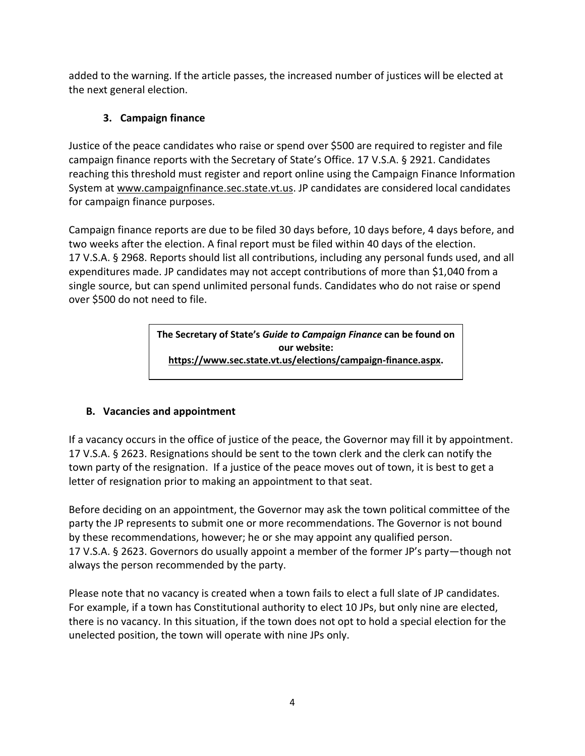added to the warning. If the article passes, the increased number of justices will be elected at the next general election.

# **3. Campaign finance**

Justice of the peace candidates who raise or spend over \$500 are required to register and file campaign finance reports with the Secretary of State's Office. 17 V.S.A. § 2921. Candidates reaching this threshold must register and report online using the Campaign Finance Information System at [www.campaignfinance.sec.state.vt.us.](http://www.campaignfinance.sec.state.vt.us/) JP candidates are considered local candidates for campaign finance purposes.

Campaign finance reports are due to be filed 30 days before, 10 days before, 4 days before, and two weeks after the election. A final report must be filed within 40 days of the election. 17 V.S.A. § 2968. Reports should list all contributions, including any personal funds used, and all expenditures made. JP candidates may not accept contributions of more than \$1,040 from a single source, but can spend unlimited personal funds. Candidates who do not raise or spend over \$500 do not need to file.

> **The Secretary of State's** *Guide to Campaign Finance* **can be found on our website: [https://www.sec.state.vt.us/elections/campaign-finance.aspx.](https://www.sec.state.vt.us/elections/campaign-finance.aspx)**

### **B. Vacancies and appointment**

If a vacancy occurs in the office of justice of the peace, the Governor may fill it by appointment. 17 V.S.A. § 2623. Resignations should be sent to the town clerk and the clerk can notify the town party of the resignation. If a justice of the peace moves out of town, it is best to get a letter of resignation prior to making an appointment to that seat.

Before deciding on an appointment, the Governor may ask the town political committee of the party the JP represents to submit one or more recommendations. The Governor is not bound by these recommendations, however; he or she may appoint any qualified person. 17 V.S.A. § 2623. Governors do usually appoint a member of the former JP's party—though not always the person recommended by the party.

Please note that no vacancy is created when a town fails to elect a full slate of JP candidates. For example, if a town has Constitutional authority to elect 10 JPs, but only nine are elected, there is no vacancy. In this situation, if the town does not opt to hold a special election for the unelected position, the town will operate with nine JPs only.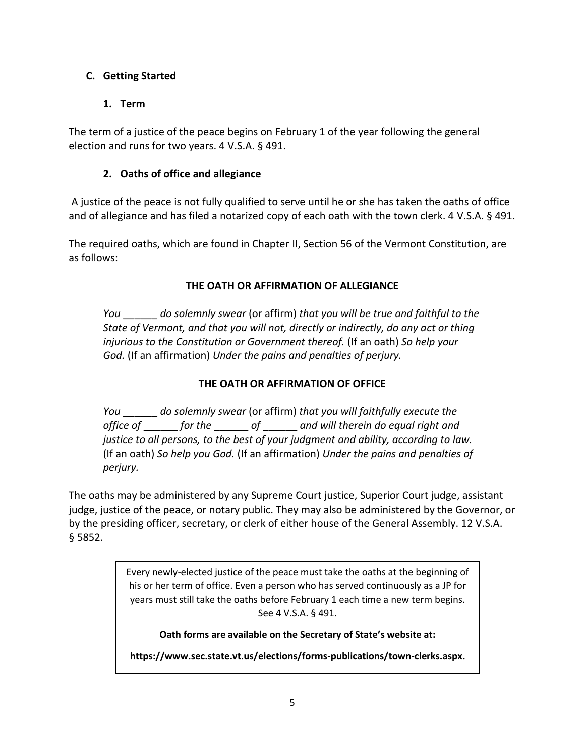#### **C. Getting Started**

#### **1. Term**

The term of a justice of the peace begins on February 1 of the year following the general election and runs for two years. 4 V.S.A. § 491.

#### **2. Oaths of office and allegiance**

A justice of the peace is not fully qualified to serve until he or she has taken the oaths of office and of allegiance and has filed a notarized copy of each oath with the town clerk. 4 V.S.A. § 491.

The required oaths, which are found in Chapter II, Section 56 of the Vermont Constitution, are as follows:

#### **THE OATH OR AFFIRMATION OF ALLEGIANCE**

*You* \_\_\_\_\_\_ *do solemnly swear* (or affirm) *that you will be true and faithful to the State of Vermont, and that you will not, directly or indirectly, do any act or thing injurious to the Constitution or Government thereof.* (If an oath) *So help your God.* (If an affirmation) *Under the pains and penalties of perjury.*

#### **THE OATH OR AFFIRMATION OF OFFICE**

*You* \_\_\_\_\_\_ *do solemnly swear* (or affirm) *that you will faithfully execute the office of* \_\_\_\_\_\_ *for the* \_\_\_\_\_\_ *of* \_\_\_\_\_\_ *and will therein do equal right and justice to all persons, to the best of your judgment and ability, according to law.* (If an oath) *So help you God.* (If an affirmation) *Under the pains and penalties of perjury.*

The oaths may be administered by any Supreme Court justice, Superior Court judge, assistant judge, justice of the peace, or notary public. They may also be administered by the Governor, or by the presiding officer, secretary, or clerk of either house of the General Assembly. 12 V.S.A. § 5852.

> Every newly-elected justice of the peace must take the oaths at the beginning of his or her term of office. Even a person who has served continuously as a JP for years must still take the oaths before February 1 each time a new term begins. See 4 V.S.A. § 491.

**Oath forms are available on the Secretary of State's website at:**

**[https://www.sec.state.vt.us/elections/forms-publications/town-clerks.aspx.](https://www.sec.state.vt.us/elections/forms-publications/town-clerks.aspx)**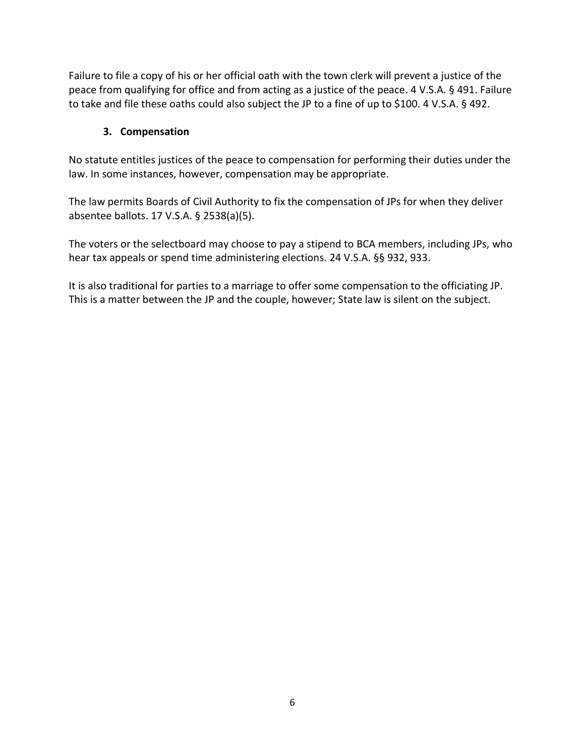Failure to file a copy of his or her official oath with the town clerk will prevent a justice of the peace from qualifying for office and from acting as a justice of the peace. 4 V.S.A. § 491. Failure to take and file these oaths could also subject the JP to a fine of up to \$100. 4 V.S.A. § 492.

#### **3. Compensation**

No statute entitles justices of the peace to compensation for performing their duties under the law. In some instances, however, compensation may be appropriate.

The law permits Boards of Civil Authority to fix the compensation of JPs for when they deliver absentee ballots. 17 V.S.A. § 2538(a)(5).

The voters or the selectboard may choose to pay a stipend to BCA members, including JPs, who hear tax appeals or spend time administering elections. 24 V.S.A. §§ 932, 933.

It is also traditional for parties to a marriage to offer some compensation to the officiating JP. This is a matter between the JP and the couple, however; State law is silent on the subject.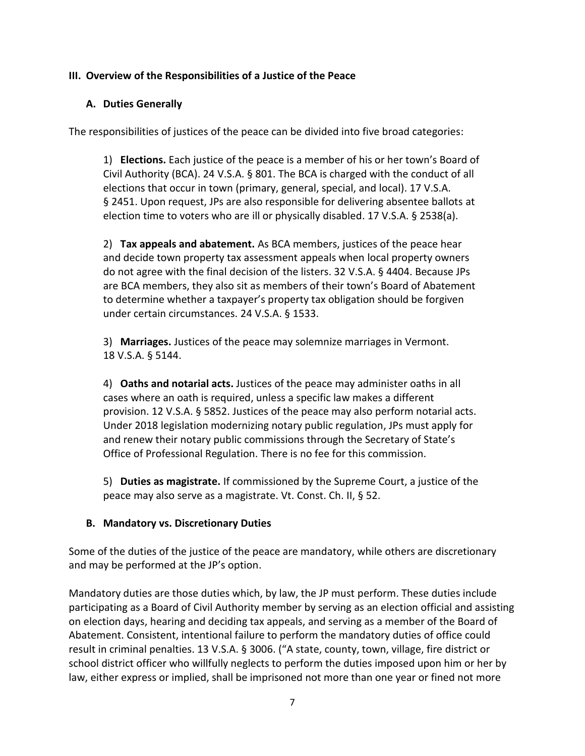#### **III. Overview of the Responsibilities of a Justice of the Peace**

#### **A. Duties Generally**

The responsibilities of justices of the peace can be divided into five broad categories:

1) **Elections.** Each justice of the peace is a member of his or her town's Board of Civil Authority (BCA). 24 V.S.A. § 801. The BCA is charged with the conduct of all elections that occur in town (primary, general, special, and local). 17 V.S.A. § 2451. Upon request, JPs are also responsible for delivering absentee ballots at election time to voters who are ill or physically disabled. 17 V.S.A. § 2538(a).

2) **Tax appeals and abatement.** As BCA members, justices of the peace hear and decide town property tax assessment appeals when local property owners do not agree with the final decision of the listers. 32 V.S.A. § 4404. Because JPs are BCA members, they also sit as members of their town's Board of Abatement to determine whether a taxpayer's property tax obligation should be forgiven under certain circumstances. 24 V.S.A. § 1533.

3) **Marriages.** Justices of the peace may solemnize marriages in Vermont. 18 V.S.A. § 5144.

4) **Oaths and notarial acts.** Justices of the peace may administer oaths in all cases where an oath is required, unless a specific law makes a different provision. 12 V.S.A. § 5852. Justices of the peace may also perform notarial acts. Under 2018 legislation modernizing notary public regulation, JPs must apply for and renew their notary public commissions through the Secretary of State's Office of Professional Regulation. There is no fee for this commission.

5) **Duties as magistrate.** If commissioned by the Supreme Court, a justice of the peace may also serve as a magistrate. Vt. Const. Ch. II, § 52.

#### **B. Mandatory vs. Discretionary Duties**

Some of the duties of the justice of the peace are mandatory, while others are discretionary and may be performed at the JP's option.

Mandatory duties are those duties which, by law, the JP must perform. These duties include participating as a Board of Civil Authority member by serving as an election official and assisting on election days, hearing and deciding tax appeals, and serving as a member of the Board of Abatement. Consistent, intentional failure to perform the mandatory duties of office could result in criminal penalties. 13 V.S.A. § 3006. ("A state, county, town, village, fire district or school district officer who willfully neglects to perform the duties imposed upon him or her by law, either express or implied, shall be imprisoned not more than one year or fined not more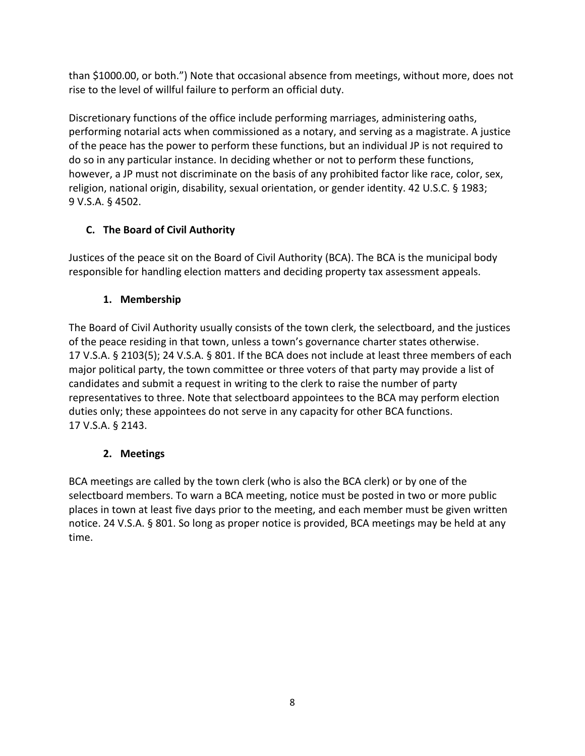than \$1000.00, or both.") Note that occasional absence from meetings, without more, does not rise to the level of willful failure to perform an official duty.

Discretionary functions of the office include performing marriages, administering oaths, performing notarial acts when commissioned as a notary, and serving as a magistrate. A justice of the peace has the power to perform these functions, but an individual JP is not required to do so in any particular instance. In deciding whether or not to perform these functions, however, a JP must not discriminate on the basis of any prohibited factor like race, color, sex, religion, national origin, disability, sexual orientation, or gender identity. 42 U.S.C. § 1983; 9 V.S.A. § 4502.

# **C. The Board of Civil Authority**

Justices of the peace sit on the Board of Civil Authority (BCA). The BCA is the municipal body responsible for handling election matters and deciding property tax assessment appeals.

# **1. Membership**

The Board of Civil Authority usually consists of the town clerk, the selectboard, and the justices of the peace residing in that town, unless a town's governance charter states otherwise. 17 V.S.A. § 2103(5); 24 V.S.A. § 801. If the BCA does not include at least three members of each major political party, the town committee or three voters of that party may provide a list of candidates and submit a request in writing to the clerk to raise the number of party representatives to three. Note that selectboard appointees to the BCA may perform election duties only; these appointees do not serve in any capacity for other BCA functions. 17 V.S.A. § 2143.

# **2. Meetings**

BCA meetings are called by the town clerk (who is also the BCA clerk) or by one of the selectboard members. To warn a BCA meeting, notice must be posted in two or more public places in town at least five days prior to the meeting, and each member must be given written notice. 24 V.S.A. § 801. So long as proper notice is provided, BCA meetings may be held at any time.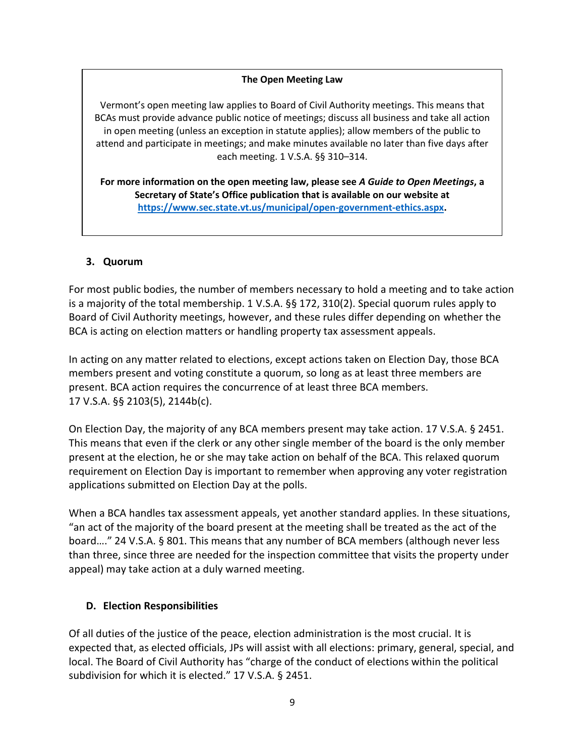#### **The Open Meeting Law**

Vermont's open meeting law applies to Board of Civil Authority meetings. This means that BCAs must provide advance public notice of meetings; discuss all business and take all action in open meeting (unless an exception in statute applies); allow members of the public to attend and participate in meetings; and make minutes available no later than five days after each meeting. 1 V.S.A. §§ 310–314.

**For more information on the open meeting law, please see** *A Guide to Open Meetings***, a Secretary of State's Office publication that is available on our website at [https://www.sec.state.vt.us/municipal/open-government-ethics.aspx.](https://www.sec.state.vt.us/municipal/open-government-ethics.aspx)**

#### **3. Quorum**

For most public bodies, the number of members necessary to hold a meeting and to take action is a majority of the total membership. 1 V.S.A. §§ 172, 310(2). Special quorum rules apply to Board of Civil Authority meetings, however, and these rules differ depending on whether the BCA is acting on election matters or handling property tax assessment appeals.

In acting on any matter related to elections, except actions taken on Election Day, those BCA members present and voting constitute a quorum, so long as at least three members are present. BCA action requires the concurrence of at least three BCA members. 17 V.S.A. §§ 2103(5), 2144b(c).

On Election Day, the majority of any BCA members present may take action. 17 V.S.A. § 2451. This means that even if the clerk or any other single member of the board is the only member present at the election, he or she may take action on behalf of the BCA. This relaxed quorum requirement on Election Day is important to remember when approving any voter registration applications submitted on Election Day at the polls.

When a BCA handles tax assessment appeals, yet another standard applies. In these situations, "an act of the majority of the board present at the meeting shall be treated as the act of the board…." 24 V.S.A. § 801. This means that any number of BCA members (although never less than three, since three are needed for the inspection committee that visits the property under appeal) may take action at a duly warned meeting.

#### **D. Election Responsibilities**

Of all duties of the justice of the peace, election administration is the most crucial. It is expected that, as elected officials, JPs will assist with all elections: primary, general, special, and local. The Board of Civil Authority has "charge of the conduct of elections within the political subdivision for which it is elected." 17 V.S.A. § 2451.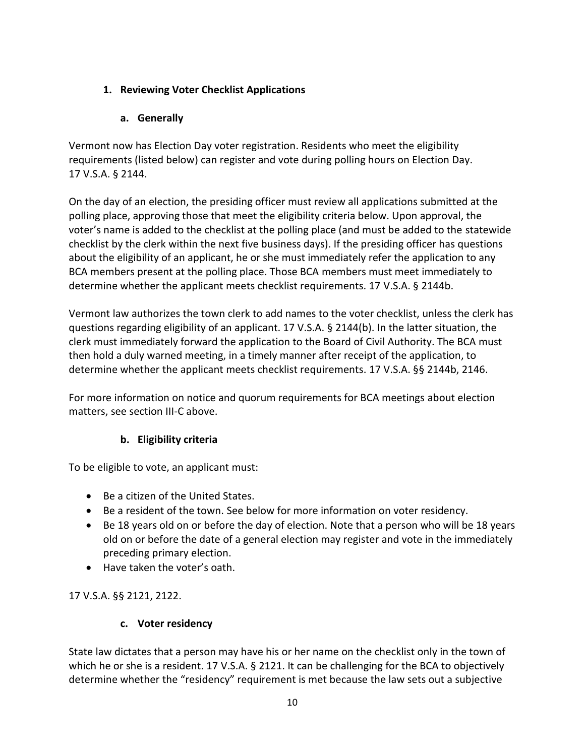### **1. Reviewing Voter Checklist Applications**

### **a. Generally**

Vermont now has Election Day voter registration. Residents who meet the eligibility requirements (listed below) can register and vote during polling hours on Election Day. 17 V.S.A. § 2144.

On the day of an election, the presiding officer must review all applications submitted at the polling place, approving those that meet the eligibility criteria below. Upon approval, the voter's name is added to the checklist at the polling place (and must be added to the statewide checklist by the clerk within the next five business days). If the presiding officer has questions about the eligibility of an applicant, he or she must immediately refer the application to any BCA members present at the polling place. Those BCA members must meet immediately to determine whether the applicant meets checklist requirements. 17 V.S.A. § 2144b.

Vermont law authorizes the town clerk to add names to the voter checklist, unless the clerk has questions regarding eligibility of an applicant. 17 V.S.A. § 2144(b). In the latter situation, the clerk must immediately forward the application to the Board of Civil Authority. The BCA must then hold a duly warned meeting, in a timely manner after receipt of the application, to determine whether the applicant meets checklist requirements. 17 V.S.A. §§ 2144b, 2146.

For more information on notice and quorum requirements for BCA meetings about election matters, see section III-C above.

### **b. Eligibility criteria**

To be eligible to vote, an applicant must:

- Be a citizen of the United States.
- Be a resident of the town. See below for more information on voter residency.
- Be 18 years old on or before the day of election. Note that a person who will be 18 years old on or before the date of a general election may register and vote in the immediately preceding primary election.
- Have taken the voter's oath.

17 V.S.A. §§ 2121, 2122.

### **c. Voter residency**

State law dictates that a person may have his or her name on the checklist only in the town of which he or she is a resident. 17 V.S.A. § 2121. It can be challenging for the BCA to objectively determine whether the "residency" requirement is met because the law sets out a subjective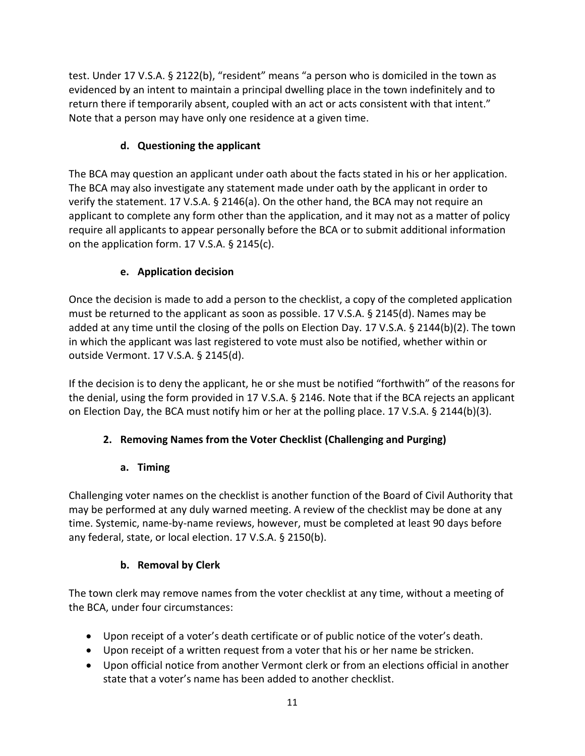test. Under 17 V.S.A. § 2122(b), "resident" means "a person who is domiciled in the town as evidenced by an intent to maintain a principal dwelling place in the town indefinitely and to return there if temporarily absent, coupled with an act or acts consistent with that intent." Note that a person may have only one residence at a given time.

# **d. Questioning the applicant**

The BCA may question an applicant under oath about the facts stated in his or her application. The BCA may also investigate any statement made under oath by the applicant in order to verify the statement. 17 V.S.A. § 2146(a). On the other hand, the BCA may not require an applicant to complete any form other than the application, and it may not as a matter of policy require all applicants to appear personally before the BCA or to submit additional information on the application form. 17 V.S.A. § 2145(c).

### **e. Application decision**

Once the decision is made to add a person to the checklist, a copy of the completed application must be returned to the applicant as soon as possible. 17 V.S.A. § 2145(d). Names may be added at any time until the closing of the polls on Election Day. 17 V.S.A. § 2144(b)(2). The town in which the applicant was last registered to vote must also be notified, whether within or outside Vermont. 17 V.S.A. § 2145(d).

If the decision is to deny the applicant, he or she must be notified "forthwith" of the reasons for the denial, using the form provided in 17 V.S.A. § 2146. Note that if the BCA rejects an applicant on Election Day, the BCA must notify him or her at the polling place. 17 V.S.A. § 2144(b)(3).

# **2. Removing Names from the Voter Checklist (Challenging and Purging)**

### **a. Timing**

Challenging voter names on the checklist is another function of the Board of Civil Authority that may be performed at any duly warned meeting. A review of the checklist may be done at any time. Systemic, name-by-name reviews, however, must be completed at least 90 days before any federal, state, or local election. 17 V.S.A. § 2150(b).

### **b. Removal by Clerk**

The town clerk may remove names from the voter checklist at any time, without a meeting of the BCA, under four circumstances:

- Upon receipt of a voter's death certificate or of public notice of the voter's death.
- Upon receipt of a written request from a voter that his or her name be stricken.
- Upon official notice from another Vermont clerk or from an elections official in another state that a voter's name has been added to another checklist.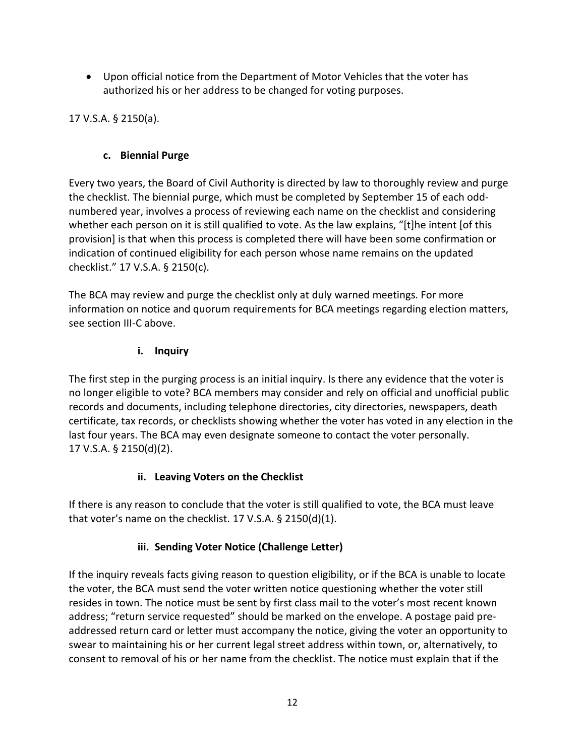Upon official notice from the Department of Motor Vehicles that the voter has authorized his or her address to be changed for voting purposes.

17 V.S.A. § 2150(a).

#### **c. Biennial Purge**

Every two years, the Board of Civil Authority is directed by law to thoroughly review and purge the checklist. The biennial purge, which must be completed by September 15 of each oddnumbered year, involves a process of reviewing each name on the checklist and considering whether each person on it is still qualified to vote. As the law explains, "[t]he intent [of this provision] is that when this process is completed there will have been some confirmation or indication of continued eligibility for each person whose name remains on the updated checklist." 17 V.S.A. § 2150(c).

The BCA may review and purge the checklist only at duly warned meetings. For more information on notice and quorum requirements for BCA meetings regarding election matters, see section III-C above.

#### **i. Inquiry**

The first step in the purging process is an initial inquiry. Is there any evidence that the voter is no longer eligible to vote? BCA members may consider and rely on official and unofficial public records and documents, including telephone directories, city directories, newspapers, death certificate, tax records, or checklists showing whether the voter has voted in any election in the last four years. The BCA may even designate someone to contact the voter personally. 17 V.S.A. § 2150(d)(2).

#### **ii. Leaving Voters on the Checklist**

If there is any reason to conclude that the voter is still qualified to vote, the BCA must leave that voter's name on the checklist. 17 V.S.A. § 2150(d)(1).

### **iii. Sending Voter Notice (Challenge Letter)**

If the inquiry reveals facts giving reason to question eligibility, or if the BCA is unable to locate the voter, the BCA must send the voter written notice questioning whether the voter still resides in town. The notice must be sent by first class mail to the voter's most recent known address; "return service requested" should be marked on the envelope. A postage paid preaddressed return card or letter must accompany the notice, giving the voter an opportunity to swear to maintaining his or her current legal street address within town, or, alternatively, to consent to removal of his or her name from the checklist. The notice must explain that if the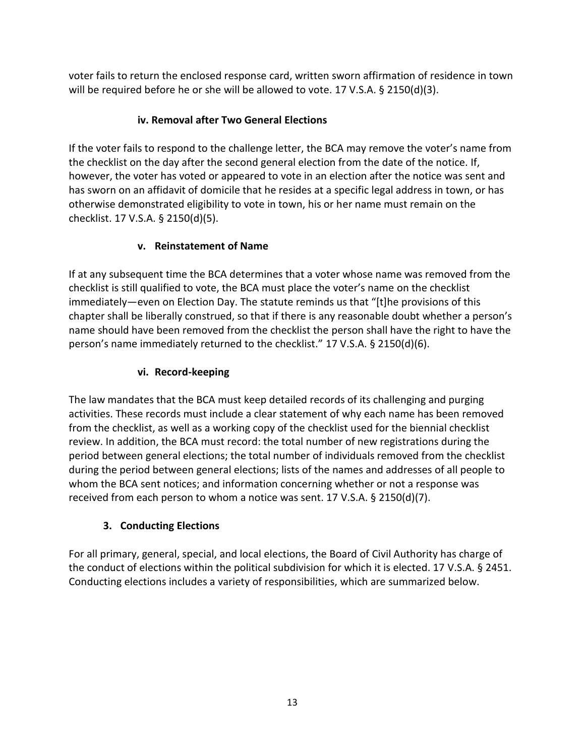voter fails to return the enclosed response card, written sworn affirmation of residence in town will be required before he or she will be allowed to vote. 17 V.S.A. § 2150(d)(3).

# **iv. Removal after Two General Elections**

If the voter fails to respond to the challenge letter, the BCA may remove the voter's name from the checklist on the day after the second general election from the date of the notice. If, however, the voter has voted or appeared to vote in an election after the notice was sent and has sworn on an affidavit of domicile that he resides at a specific legal address in town, or has otherwise demonstrated eligibility to vote in town, his or her name must remain on the checklist. 17 V.S.A. § 2150(d)(5).

### **v. Reinstatement of Name**

If at any subsequent time the BCA determines that a voter whose name was removed from the checklist is still qualified to vote, the BCA must place the voter's name on the checklist immediately—even on Election Day. The statute reminds us that "[t]he provisions of this chapter shall be liberally construed, so that if there is any reasonable doubt whether a person's name should have been removed from the checklist the person shall have the right to have the person's name immediately returned to the checklist." 17 V.S.A.  $\S 2150(d)(6)$ .

# **vi. Record-keeping**

The law mandates that the BCA must keep detailed records of its challenging and purging activities. These records must include a clear statement of why each name has been removed from the checklist, as well as a working copy of the checklist used for the biennial checklist review. In addition, the BCA must record: the total number of new registrations during the period between general elections; the total number of individuals removed from the checklist during the period between general elections; lists of the names and addresses of all people to whom the BCA sent notices; and information concerning whether or not a response was received from each person to whom a notice was sent. 17 V.S.A. § 2150(d)(7).

# **3. Conducting Elections**

For all primary, general, special, and local elections, the Board of Civil Authority has charge of the conduct of elections within the political subdivision for which it is elected. 17 V.S.A. § 2451. Conducting elections includes a variety of responsibilities, which are summarized below.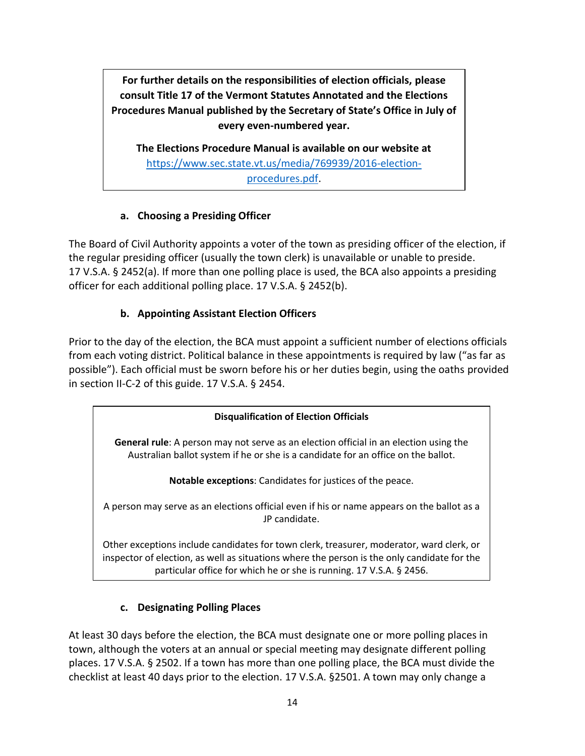**For further details on the responsibilities of election officials, please consult Title 17 of the Vermont Statutes Annotated and the Elections Procedures Manual published by the Secretary of State's Office in July of every even-numbered year.**

**The Elections Procedure Manual is available on our website at** [https://www.sec.state.vt.us/media/769939/2016-election](https://www.sec.state.vt.us/media/769939/2016-election-procedures.pdf)[procedures.pdf.](https://www.sec.state.vt.us/media/769939/2016-election-procedures.pdf)

#### **a. Choosing a Presiding Officer**

The Board of Civil Authority appoints a voter of the town as presiding officer of the election, if the regular presiding officer (usually the town clerk) is unavailable or unable to preside. 17 V.S.A. § 2452(a). If more than one polling place is used, the BCA also appoints a presiding officer for each additional polling place. 17 V.S.A. § 2452(b).

### **b. Appointing Assistant Election Officers**

Prior to the day of the election, the BCA must appoint a sufficient number of elections officials from each voting district. Political balance in these appointments is required by law ("as far as possible"). Each official must be sworn before his or her duties begin, using the oaths provided in section II-C-2 of this guide. 17 V.S.A. § 2454.

#### **Disqualification of Election Officials**

**General rule**: A person may not serve as an election official in an election using the Australian ballot system if he or she is a candidate for an office on the ballot.

**Notable exceptions**: Candidates for justices of the peace.

A person may serve as an elections official even if his or name appears on the ballot as a JP candidate.

Other exceptions include candidates for town clerk, treasurer, moderator, ward clerk, or inspector of election, as well as situations where the person is the only candidate for the particular office for which he or she is running. 17 V.S.A. § 2456.

#### **c. Designating Polling Places**

At least 30 days before the election, the BCA must designate one or more polling places in town, although the voters at an annual or special meeting may designate different polling places. 17 V.S.A. § 2502. If a town has more than one polling place, the BCA must divide the checklist at least 40 days prior to the election. 17 V.S.A. §2501. A town may only change a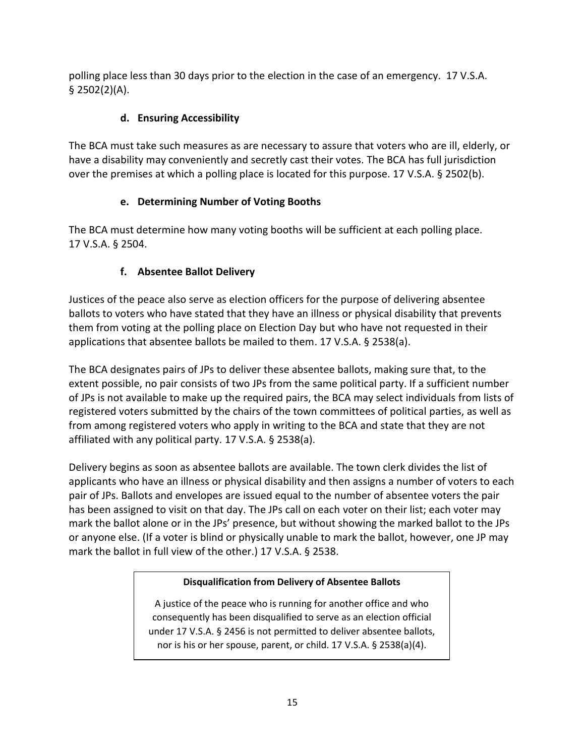polling place less than 30 days prior to the election in the case of an emergency. 17 V.S.A. § 2502(2)(A).

# **d. Ensuring Accessibility**

The BCA must take such measures as are necessary to assure that voters who are ill, elderly, or have a disability may conveniently and secretly cast their votes. The BCA has full jurisdiction over the premises at which a polling place is located for this purpose. 17 V.S.A. § 2502(b).

# **e. Determining Number of Voting Booths**

The BCA must determine how many voting booths will be sufficient at each polling place. 17 V.S.A. § 2504.

# **f. Absentee Ballot Delivery**

Justices of the peace also serve as election officers for the purpose of delivering absentee ballots to voters who have stated that they have an illness or physical disability that prevents them from voting at the polling place on Election Day but who have not requested in their applications that absentee ballots be mailed to them. 17 V.S.A. § 2538(a).

The BCA designates pairs of JPs to deliver these absentee ballots, making sure that, to the extent possible, no pair consists of two JPs from the same political party. If a sufficient number of JPs is not available to make up the required pairs, the BCA may select individuals from lists of registered voters submitted by the chairs of the town committees of political parties, as well as from among registered voters who apply in writing to the BCA and state that they are not affiliated with any political party. 17 V.S.A. § 2538(a).

Delivery begins as soon as absentee ballots are available. The town clerk divides the list of applicants who have an illness or physical disability and then assigns a number of voters to each pair of JPs. Ballots and envelopes are issued equal to the number of absentee voters the pair has been assigned to visit on that day. The JPs call on each voter on their list; each voter may mark the ballot alone or in the JPs' presence, but without showing the marked ballot to the JPs or anyone else. (If a voter is blind or physically unable to mark the ballot, however, one JP may mark the ballot in full view of the other.) 17 V.S.A. § 2538.

# **Disqualification from Delivery of Absentee Ballots**

A justice of the peace who is running for another office and who consequently has been disqualified to serve as an election official under 17 V.S.A. § 2456 is not permitted to deliver absentee ballots, nor is his or her spouse, parent, or child. 17 V.S.A. § 2538(a)(4).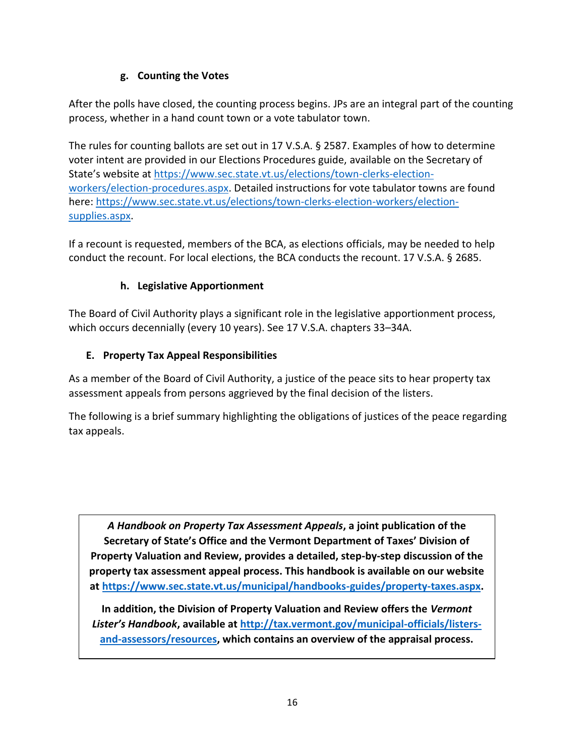### **g. Counting the Votes**

After the polls have closed, the counting process begins. JPs are an integral part of the counting process, whether in a hand count town or a vote tabulator town.

The rules for counting ballots are set out in 17 V.S.A. § 2587. Examples of how to determine voter intent are provided in our Elections Procedures guide, available on the Secretary of State's website at [https://www.sec.state.vt.us/elections/town-clerks-election](https://www.sec.state.vt.us/elections/town-clerks-election-workers/election-procedures.aspx)[workers/election-procedures.aspx.](https://www.sec.state.vt.us/elections/town-clerks-election-workers/election-procedures.aspx) Detailed instructions for vote tabulator towns are found here: [https://www.sec.state.vt.us/elections/town-clerks-election-workers/election](https://www.sec.state.vt.us/elections/town-clerks-election-workers/election-supplies.aspx)[supplies.aspx.](https://www.sec.state.vt.us/elections/town-clerks-election-workers/election-supplies.aspx)

If a recount is requested, members of the BCA, as elections officials, may be needed to help conduct the recount. For local elections, the BCA conducts the recount. 17 V.S.A. § 2685.

### **h. Legislative Apportionment**

The Board of Civil Authority plays a significant role in the legislative apportionment process, which occurs decennially (every 10 years). See 17 V.S.A. chapters 33–34A.

### **E. Property Tax Appeal Responsibilities**

As a member of the Board of Civil Authority, a justice of the peace sits to hear property tax assessment appeals from persons aggrieved by the final decision of the listers.

The following is a brief summary highlighting the obligations of justices of the peace regarding tax appeals.

*A Handbook on Property Tax Assessment Appeals***, a joint publication of the Secretary of State's Office and the Vermont Department of Taxes' Division of Property Valuation and Review, provides a detailed, step-by-step discussion of the property tax assessment appeal process. This handbook is available on our website at [https://www.sec.state.vt.us/municipal/handbooks-guides/property-taxes.aspx.](https://www.sec.state.vt.us/municipal/handbooks-guides/property-taxes.aspx)**

**In addition, the Division of Property Valuation and Review offers the** *Vermont Lister's Handbook***, available at [http://tax.vermont.gov/municipal-officials/listers](http://tax.vermont.gov/municipal-officials/listers-and-assessors/resources)[and-assessors/resources,](http://tax.vermont.gov/municipal-officials/listers-and-assessors/resources) which contains an overview of the appraisal process.**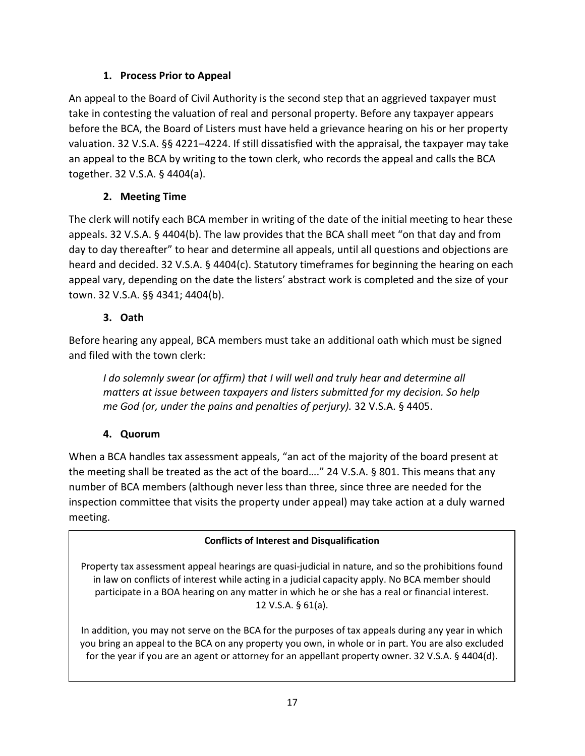### **1. Process Prior to Appeal**

An appeal to the Board of Civil Authority is the second step that an aggrieved taxpayer must take in contesting the valuation of real and personal property. Before any taxpayer appears before the BCA, the Board of Listers must have held a grievance hearing on his or her property valuation. 32 V.S.A. §§ 4221–4224. If still dissatisfied with the appraisal, the taxpayer may take an appeal to the BCA by writing to the town clerk, who records the appeal and calls the BCA together. 32 V.S.A. § 4404(a).

# **2. Meeting Time**

The clerk will notify each BCA member in writing of the date of the initial meeting to hear these appeals. 32 V.S.A. § 4404(b). The law provides that the BCA shall meet "on that day and from day to day thereafter" to hear and determine all appeals, until all questions and objections are heard and decided. 32 V.S.A. § 4404(c). Statutory timeframes for beginning the hearing on each appeal vary, depending on the date the listers' abstract work is completed and the size of your town. 32 V.S.A. §§ 4341; 4404(b).

### **3. Oath**

Before hearing any appeal, BCA members must take an additional oath which must be signed and filed with the town clerk:

*I do solemnly swear (or affirm) that I will well and truly hear and determine all matters at issue between taxpayers and listers submitted for my decision. So help me God (or, under the pains and penalties of perjury).* 32 V.S.A. § 4405.

### **4. Quorum**

When a BCA handles tax assessment appeals, "an act of the majority of the board present at the meeting shall be treated as the act of the board…." 24 V.S.A. § 801. This means that any number of BCA members (although never less than three, since three are needed for the inspection committee that visits the property under appeal) may take action at a duly warned meeting.

### **Conflicts of Interest and Disqualification**

Property tax assessment appeal hearings are quasi-judicial in nature, and so the prohibitions found in law on conflicts of interest while acting in a judicial capacity apply. No BCA member should participate in a BOA hearing on any matter in which he or she has a real or financial interest. 12 V.S.A. § 61(a).

In addition, you may not serve on the BCA for the purposes of tax appeals during any year in which you bring an appeal to the BCA on any property you own, in whole or in part. You are also excluded for the year if you are an agent or attorney for an appellant property owner. 32 V.S.A. § 4404(d).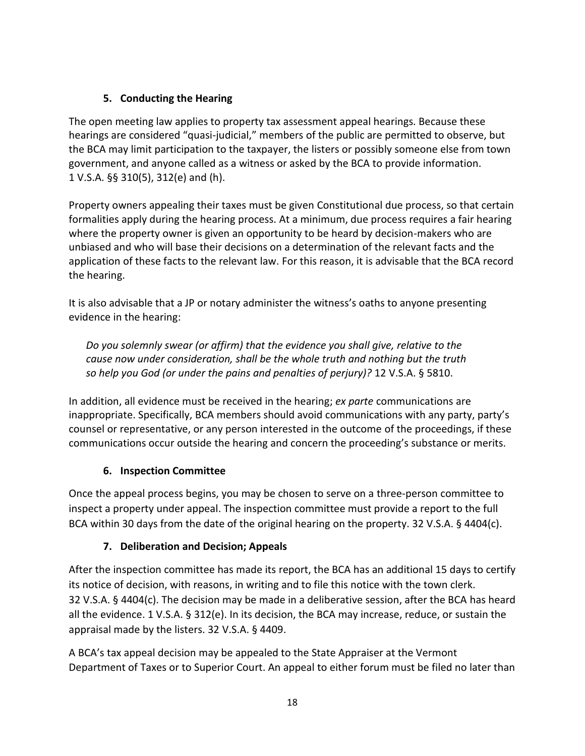### **5. Conducting the Hearing**

The open meeting law applies to property tax assessment appeal hearings. Because these hearings are considered "quasi-judicial," members of the public are permitted to observe, but the BCA may limit participation to the taxpayer, the listers or possibly someone else from town government, and anyone called as a witness or asked by the BCA to provide information. 1 V.S.A. §§ 310(5), 312(e) and (h).

Property owners appealing their taxes must be given Constitutional due process, so that certain formalities apply during the hearing process. At a minimum, due process requires a fair hearing where the property owner is given an opportunity to be heard by decision-makers who are unbiased and who will base their decisions on a determination of the relevant facts and the application of these facts to the relevant law. For this reason, it is advisable that the BCA record the hearing.

It is also advisable that a JP or notary administer the witness's oaths to anyone presenting evidence in the hearing:

*Do you solemnly swear (or affirm) that the evidence you shall give, relative to the cause now under consideration, shall be the whole truth and nothing but the truth so help you God (or under the pains and penalties of perjury)?* 12 V.S.A. § 5810.

In addition, all evidence must be received in the hearing; *ex parte* communications are inappropriate. Specifically, BCA members should avoid communications with any party, party's counsel or representative, or any person interested in the outcome of the proceedings, if these communications occur outside the hearing and concern the proceeding's substance or merits.

# **6. Inspection Committee**

Once the appeal process begins, you may be chosen to serve on a three-person committee to inspect a property under appeal. The inspection committee must provide a report to the full BCA within 30 days from the date of the original hearing on the property. 32 V.S.A. § 4404(c).

### **7. Deliberation and Decision; Appeals**

After the inspection committee has made its report, the BCA has an additional 15 days to certify its notice of decision, with reasons, in writing and to file this notice with the town clerk. 32 V.S.A. § 4404(c). The decision may be made in a deliberative session, after the BCA has heard all the evidence. 1 V.S.A. § 312(e). In its decision, the BCA may increase, reduce, or sustain the appraisal made by the listers. 32 V.S.A. § 4409.

A BCA's tax appeal decision may be appealed to the State Appraiser at the Vermont Department of Taxes or to Superior Court. An appeal to either forum must be filed no later than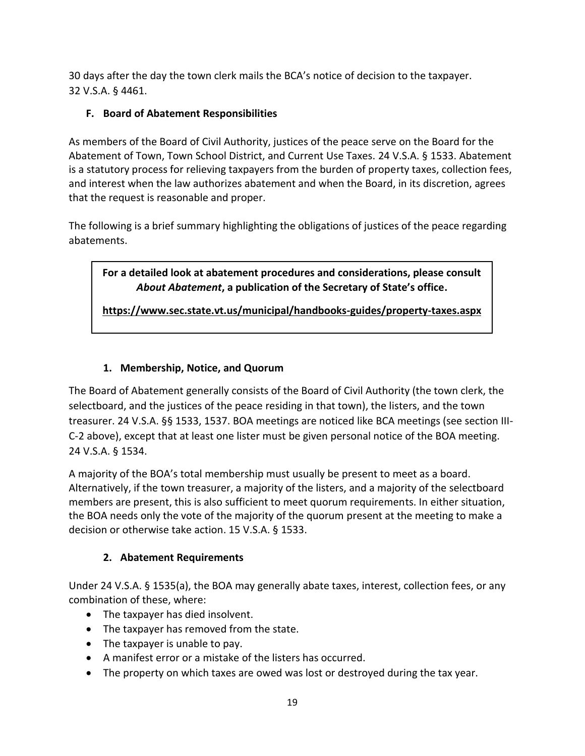30 days after the day the town clerk mails the BCA's notice of decision to the taxpayer. 32 V.S.A. § 4461.

# **F. Board of Abatement Responsibilities**

As members of the Board of Civil Authority, justices of the peace serve on the Board for the Abatement of Town, Town School District, and Current Use Taxes. 24 V.S.A. § 1533. Abatement is a statutory process for relieving taxpayers from the burden of property taxes, collection fees, and interest when the law authorizes abatement and when the Board, in its discretion, agrees that the request is reasonable and proper.

The following is a brief summary highlighting the obligations of justices of the peace regarding abatements.

**For a detailed look at abatement procedures and considerations, please consult**  *About Abatement***, a publication of the Secretary of State's office.**

**<https://www.sec.state.vt.us/municipal/handbooks-guides/property-taxes.aspx>**

# **1. Membership, Notice, and Quorum**

The Board of Abatement generally consists of the Board of Civil Authority (the town clerk, the selectboard, and the justices of the peace residing in that town), the listers, and the town treasurer. 24 V.S.A. §§ 1533, 1537. BOA meetings are noticed like BCA meetings (see section III-C-2 above), except that at least one lister must be given personal notice of the BOA meeting. 24 V.S.A. § 1534.

A majority of the BOA's total membership must usually be present to meet as a board. Alternatively, if the town treasurer, a majority of the listers, and a majority of the selectboard members are present, this is also sufficient to meet quorum requirements. In either situation, the BOA needs only the vote of the majority of the quorum present at the meeting to make a decision or otherwise take action. 15 V.S.A. § 1533.

### **2. Abatement Requirements**

Under 24 V.S.A. § 1535(a), the BOA may generally abate taxes, interest, collection fees, or any combination of these, where:

- The taxpayer has died insolvent.
- The taxpayer has removed from the state.
- The taxpayer is unable to pay.
- A manifest error or a mistake of the listers has occurred.
- The property on which taxes are owed was lost or destroyed during the tax year.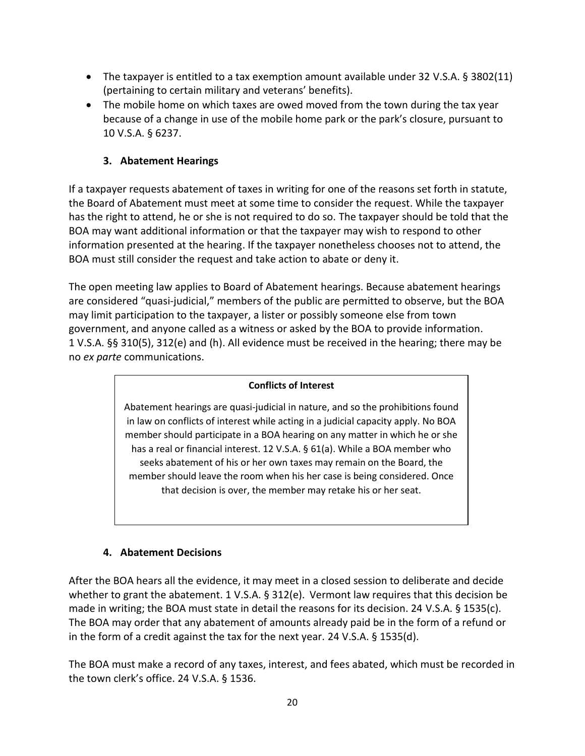- The taxpayer is entitled to a tax exemption amount available under 32 V.S.A. § 3802(11) (pertaining to certain military and veterans' benefits).
- The mobile home on which taxes are owed moved from the town during the tax year because of a change in use of the mobile home park or the park's closure, pursuant to 10 V.S.A. § 6237.

#### **3. Abatement Hearings**

If a taxpayer requests abatement of taxes in writing for one of the reasons set forth in statute, the Board of Abatement must meet at some time to consider the request. While the taxpayer has the right to attend, he or she is not required to do so. The taxpayer should be told that the BOA may want additional information or that the taxpayer may wish to respond to other information presented at the hearing. If the taxpayer nonetheless chooses not to attend, the BOA must still consider the request and take action to abate or deny it.

The open meeting law applies to Board of Abatement hearings. Because abatement hearings are considered "quasi-judicial," members of the public are permitted to observe, but the BOA may limit participation to the taxpayer, a lister or possibly someone else from town government, and anyone called as a witness or asked by the BOA to provide information. 1 V.S.A. §§ 310(5), 312(e) and (h). All evidence must be received in the hearing; there may be no *ex parte* communications.

#### **Conflicts of Interest**

Abatement hearings are quasi-judicial in nature, and so the prohibitions found in law on conflicts of interest while acting in a judicial capacity apply. No BOA member should participate in a BOA hearing on any matter in which he or she has a real or financial interest. 12 V.S.A. § 61(a). While a BOA member who seeks abatement of his or her own taxes may remain on the Board, the member should leave the room when his her case is being considered. Once that decision is over, the member may retake his or her seat.

#### **4. Abatement Decisions**

After the BOA hears all the evidence, it may meet in a closed session to deliberate and decide whether to grant the abatement. 1 V.S.A. § 312(e). Vermont law requires that this decision be made in writing; the BOA must state in detail the reasons for its decision. 24 V.S.A. § 1535(c). The BOA may order that any abatement of amounts already paid be in the form of a refund or in the form of a credit against the tax for the next year. 24 V.S.A. § 1535(d).

The BOA must make a record of any taxes, interest, and fees abated, which must be recorded in the town clerk's office. 24 V.S.A. § 1536.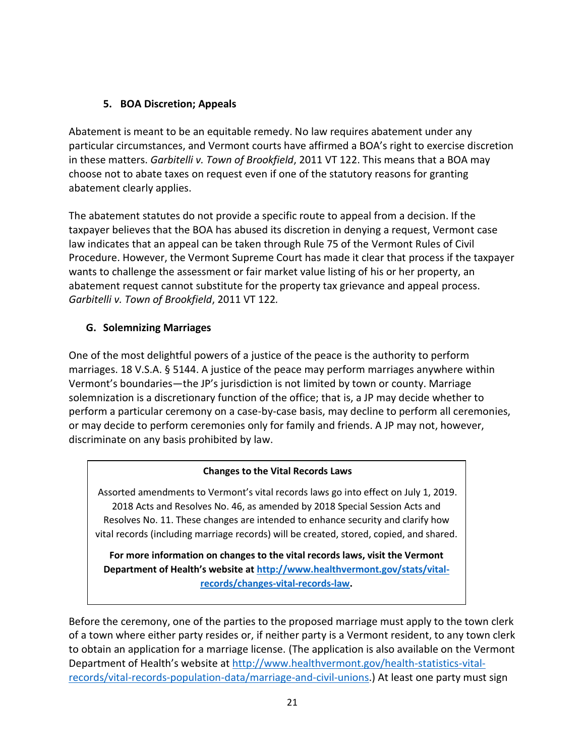#### **5. BOA Discretion; Appeals**

Abatement is meant to be an equitable remedy. No law requires abatement under any particular circumstances, and Vermont courts have affirmed a BOA's right to exercise discretion in these matters. *Garbitelli v. Town of Brookfield*, 2011 VT 122. This means that a BOA may choose not to abate taxes on request even if one of the statutory reasons for granting abatement clearly applies.

The abatement statutes do not provide a specific route to appeal from a decision. If the taxpayer believes that the BOA has abused its discretion in denying a request, Vermont case law indicates that an appeal can be taken through Rule 75 of the Vermont Rules of Civil Procedure. However, the Vermont Supreme Court has made it clear that process if the taxpayer wants to challenge the assessment or fair market value listing of his or her property, an abatement request cannot substitute for the property tax grievance and appeal process. *Garbitelli v. Town of Brookfield*, 2011 VT 122*.*

#### **G. Solemnizing Marriages**

One of the most delightful powers of a justice of the peace is the authority to perform marriages. 18 V.S.A. § 5144. A justice of the peace may perform marriages anywhere within Vermont's boundaries—the JP's jurisdiction is not limited by town or county. Marriage solemnization is a discretionary function of the office; that is, a JP may decide whether to perform a particular ceremony on a case-by-case basis, may decline to perform all ceremonies, or may decide to perform ceremonies only for family and friends. A JP may not, however, discriminate on any basis prohibited by law.

#### **Changes to the Vital Records Laws**

Assorted amendments to Vermont's vital records laws go into effect on July 1, 2019. 2018 Acts and Resolves No. 46, as amended by 2018 Special Session Acts and Resolves No. 11. These changes are intended to enhance security and clarify how vital records (including marriage records) will be created, stored, copied, and shared.

**For more information on changes to the vital records laws, visit the Vermont Department of Health's website at [http://www.healthvermont.gov/stats/vital](http://www.healthvermont.gov/stats/vital-records/changes-vital-records-law)[records/changes-vital-records-law.](http://www.healthvermont.gov/stats/vital-records/changes-vital-records-law)**

Before the ceremony, one of the parties to the proposed marriage must apply to the town clerk of a town where either party resides or, if neither party is a Vermont resident, to any town clerk to obtain an application for a marriage license. (The application is also available on the Vermont Department of Health's website at [http://www.healthvermont.gov/health-statistics-vital](http://www.healthvermont.gov/health-statistics-vital-records/vital-records-population-data/marriage-and-civil-unions)[records/vital-records-population-data/marriage-and-civil-unions.](http://www.healthvermont.gov/health-statistics-vital-records/vital-records-population-data/marriage-and-civil-unions)) At least one party must sign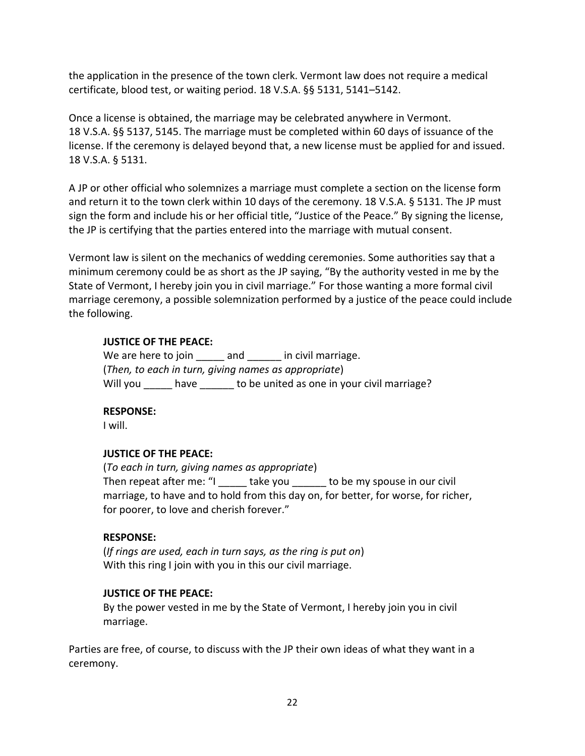the application in the presence of the town clerk. Vermont law does not require a medical certificate, blood test, or waiting period. 18 V.S.A. §§ 5131, 5141–5142.

Once a license is obtained, the marriage may be celebrated anywhere in Vermont. 18 V.S.A. §§ 5137, 5145. The marriage must be completed within 60 days of issuance of the license. If the ceremony is delayed beyond that, a new license must be applied for and issued. 18 V.S.A. § 5131.

A JP or other official who solemnizes a marriage must complete a section on the license form and return it to the town clerk within 10 days of the ceremony. 18 V.S.A. § 5131. The JP must sign the form and include his or her official title, "Justice of the Peace." By signing the license, the JP is certifying that the parties entered into the marriage with mutual consent.

Vermont law is silent on the mechanics of wedding ceremonies. Some authorities say that a minimum ceremony could be as short as the JP saying, "By the authority vested in me by the State of Vermont, I hereby join you in civil marriage." For those wanting a more formal civil marriage ceremony, a possible solemnization performed by a justice of the peace could include the following.

#### **JUSTICE OF THE PEACE:**

We are here to join and in civil marriage. (*Then, to each in turn, giving names as appropriate*) Will you have to be united as one in your civil marriage?

#### **RESPONSE:**

I will.

#### **JUSTICE OF THE PEACE:**

(*To each in turn, giving names as appropriate*) Then repeat after me: "I \_\_\_\_\_\_ take you \_\_\_\_\_\_ to be my spouse in our civil marriage, to have and to hold from this day on, for better, for worse, for richer, for poorer, to love and cherish forever."

#### **RESPONSE:**

(*If rings are used, each in turn says, as the ring is put on*) With this ring I join with you in this our civil marriage.

#### **JUSTICE OF THE PEACE:**

By the power vested in me by the State of Vermont, I hereby join you in civil marriage.

Parties are free, of course, to discuss with the JP their own ideas of what they want in a ceremony.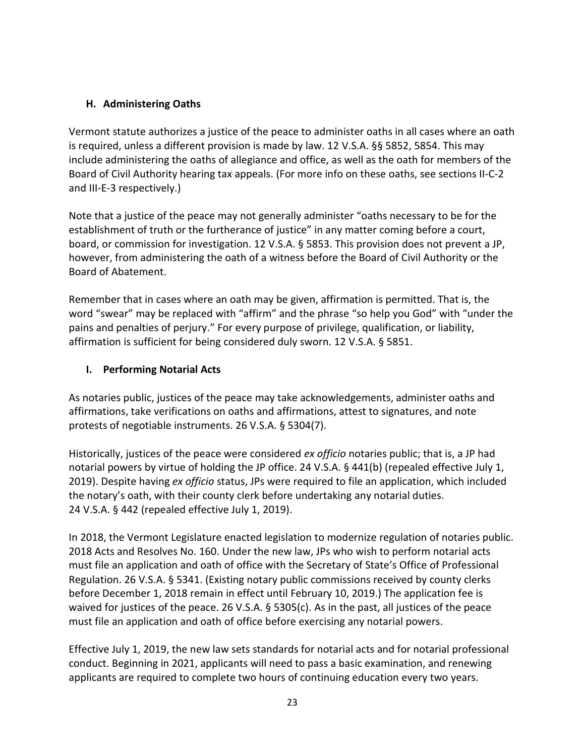#### **H. Administering Oaths**

Vermont statute authorizes a justice of the peace to administer oaths in all cases where an oath is required, unless a different provision is made by law. 12 V.S.A. §§ 5852, 5854. This may include administering the oaths of allegiance and office, as well as the oath for members of the Board of Civil Authority hearing tax appeals. (For more info on these oaths, see sections II-C-2 and III-E-3 respectively.)

Note that a justice of the peace may not generally administer "oaths necessary to be for the establishment of truth or the furtherance of justice" in any matter coming before a court, board, or commission for investigation. 12 V.S.A. § 5853. This provision does not prevent a JP, however, from administering the oath of a witness before the Board of Civil Authority or the Board of Abatement.

Remember that in cases where an oath may be given, affirmation is permitted. That is, the word "swear" may be replaced with "affirm" and the phrase "so help you God" with "under the pains and penalties of perjury." For every purpose of privilege, qualification, or liability, affirmation is sufficient for being considered duly sworn. 12 V.S.A. § 5851.

#### **I. Performing Notarial Acts**

As notaries public, justices of the peace may take acknowledgements, administer oaths and affirmations, take verifications on oaths and affirmations, attest to signatures, and note protests of negotiable instruments. 26 V.S.A. § 5304(7).

Historically, justices of the peace were considered *ex officio* notaries public; that is, a JP had notarial powers by virtue of holding the JP office. 24 V.S.A. § 441(b) (repealed effective July 1, 2019). Despite having *ex officio* status, JPs were required to file an application, which included the notary's oath, with their county clerk before undertaking any notarial duties. 24 V.S.A. § 442 (repealed effective July 1, 2019).

In 2018, the Vermont Legislature enacted legislation to modernize regulation of notaries public. 2018 Acts and Resolves No. 160. Under the new law, JPs who wish to perform notarial acts must file an application and oath of office with the Secretary of State's Office of Professional Regulation. 26 V.S.A. § 5341. (Existing notary public commissions received by county clerks before December 1, 2018 remain in effect until February 10, 2019.) The application fee is waived for justices of the peace. 26 V.S.A. § 5305(c). As in the past, all justices of the peace must file an application and oath of office before exercising any notarial powers.

Effective July 1, 2019, the new law sets standards for notarial acts and for notarial professional conduct. Beginning in 2021, applicants will need to pass a basic examination, and renewing applicants are required to complete two hours of continuing education every two years.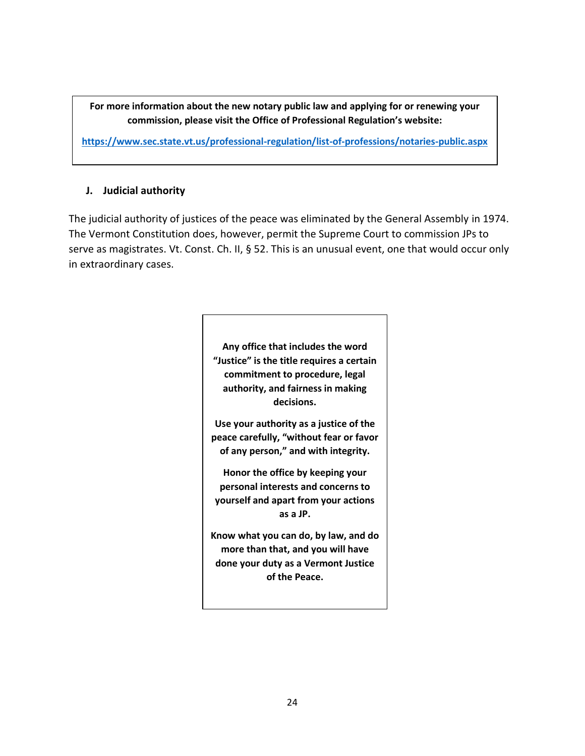**For more information about the new notary public law and applying for or renewing your commission, please visit the Office of Professional Regulation's website:**

**<https://www.sec.state.vt.us/professional-regulation/list-of-professions/notaries-public.aspx>**

#### **J. Judicial authority**

The judicial authority of justices of the peace was eliminated by the General Assembly in 1974. The Vermont Constitution does, however, permit the Supreme Court to commission JPs to serve as magistrates. Vt. Const. Ch. II, § 52. This is an unusual event, one that would occur only in extraordinary cases.

> **Any office that includes the word "Justice" is the title requires a certain commitment to procedure, legal authority, and fairness in making decisions.**

> **Use your authority as a justice of the peace carefully, "without fear or favor of any person," and with integrity.**

**Honor the office by keeping your personal interests and concerns to yourself and apart from your actions as a JP.**

**Know what you can do, by law, and do more than that, and you will have done your duty as a Vermont Justice of the Peace.**